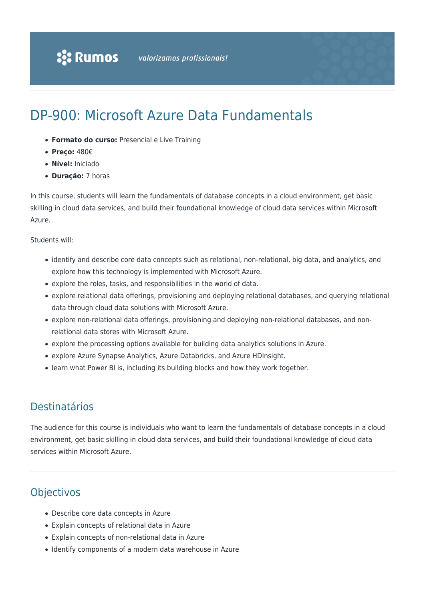# DP-900: Microsoft Azure Data Fundamentals

- **Formato do curso:** Presencial e Live Training
- **Preço:** 480€
- **Nível:** Iniciado
- **Duração:** 7 horas

In this course, students will learn the fundamentals of database concepts in a cloud environment, get basic skilling in cloud data services, and build their foundational knowledge of cloud data services within Microsoft Azure.

#### Students will:

- identify and describe core data concepts such as relational, non-relational, big data, and analytics, and explore how this technology is implemented with Microsoft Azure.
- explore the roles, tasks, and responsibilities in the world of data.
- explore relational data offerings, provisioning and deploying relational databases, and querying relational data through cloud data solutions with Microsoft Azure.
- explore non-relational data offerings, provisioning and deploying non-relational databases, and nonrelational data stores with Microsoft Azure.
- explore the processing options available for building data analytics solutions in Azure.
- explore Azure Synapse Analytics, Azure Databricks, and Azure HDInsight.
- learn what Power BI is, including its building blocks and how they work together.

# Destinatários

The audience for this course is individuals who want to learn the fundamentals of database concepts in a cloud environment, get basic skilling in cloud data services, and build their foundational knowledge of cloud data services within Microsoft Azure.

## **Objectivos**

- Describe core data concepts in Azure
- Explain concepts of relational data in Azure
- Explain concepts of non-relational data in Azure
- Identify components of a modern data warehouse in Azure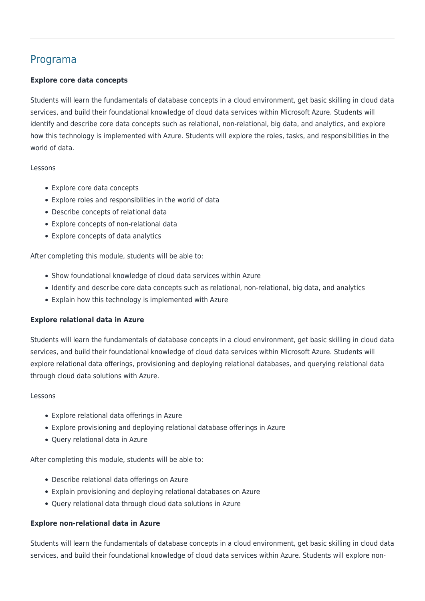# Programa

#### **Explore core data concepts**

Students will learn the fundamentals of database concepts in a cloud environment, get basic skilling in cloud data services, and build their foundational knowledge of cloud data services within Microsoft Azure. Students will identify and describe core data concepts such as relational, non-relational, big data, and analytics, and explore how this technology is implemented with Azure. Students will explore the roles, tasks, and responsibilities in the world of data.

#### Lessons

- Explore core data concepts
- Explore roles and responsiblities in the world of data
- Describe concepts of relational data
- Explore concepts of non-relational data
- Explore concepts of data analytics

After completing this module, students will be able to:

- Show foundational knowledge of cloud data services within Azure
- Identify and describe core data concepts such as relational, non-relational, big data, and analytics
- Explain how this technology is implemented with Azure

#### **Explore relational data in Azure**

Students will learn the fundamentals of database concepts in a cloud environment, get basic skilling in cloud data services, and build their foundational knowledge of cloud data services within Microsoft Azure. Students will explore relational data offerings, provisioning and deploying relational databases, and querying relational data through cloud data solutions with Azure.

#### Lessons

- Explore relational data offerings in Azure
- Explore provisioning and deploying relational database offerings in Azure
- Query relational data in Azure

After completing this module, students will be able to:

- Describe relational data offerings on Azure
- Explain provisioning and deploying relational databases on Azure
- Query relational data through cloud data solutions in Azure

#### **Explore non-relational data in Azure**

Students will learn the fundamentals of database concepts in a cloud environment, get basic skilling in cloud data services, and build their foundational knowledge of cloud data services within Azure. Students will explore non